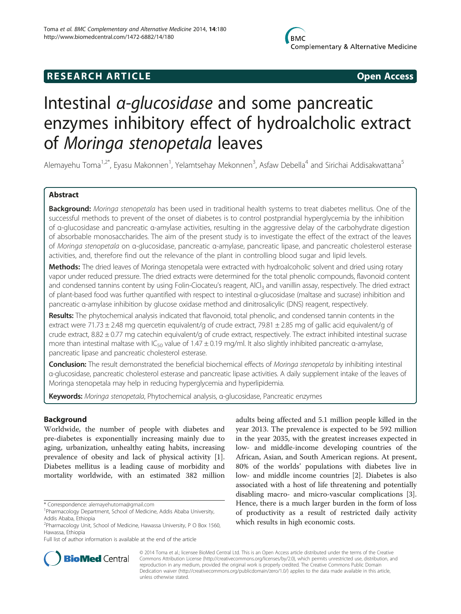# **RESEARCH ARTICLE Example 2014 CONSIDERING CONSIDERING CONSIDERING CONSIDERING CONSIDERING CONSIDERING CONSIDERING CONSIDERING CONSIDERING CONSIDERING CONSIDERING CONSIDERING CONSIDERING CONSIDERING CONSIDERING CONSIDE**

# Intestinal α-glucosidase and some pancreatic enzymes inhibitory effect of hydroalcholic extract of Moringa stenopetala leaves

Alemayehu Toma<sup>1,2\*</sup>, Eyasu Makonnen<sup>1</sup>, Yelamtsehay Mekonnen<sup>3</sup>, Asfaw Debella<sup>4</sup> and Sirichai Addisakwattana<sup>5</sup>

# Abstract

Background: Moringa stenopetala has been used in traditional health systems to treat diabetes mellitus. One of the successful methods to prevent of the onset of diabetes is to control postprandial hyperglycemia by the inhibition of α-glucosidase and pancreatic α-amylase activities, resulting in the aggressive delay of the carbohydrate digestion of absorbable monosaccharides. The aim of the present study is to investigate the effect of the extract of the leaves of Moringa stenopetala on α-glucosidase, pancreatic α-amylase, pancreatic lipase, and pancreatic cholesterol esterase activities, and, therefore find out the relevance of the plant in controlling blood sugar and lipid levels.

Methods: The dried leaves of Moringa stenopetala were extracted with hydroalcoholic solvent and dried using rotary vapor under reduced pressure. The dried extracts were determined for the total phenolic compounds, flavonoid content and condensed tannins content by using Folin-Ciocateu's reagent, AlCl<sub>3</sub> and vanillin assay, respectively. The dried extract of plant-based food was further quantified with respect to intestinal α-glucosidase (maltase and sucrase) inhibition and pancreatic α-amylase inhibition by glucose oxidase method and dinitrosalicylic (DNS) reagent, respectively.

Results: The phytochemical analysis indicated that flavonoid, total phenolic, and condensed tannin contents in the extract were 71.73  $\pm$  2.48 mg quercetin equivalent/g of crude extract, 79.81  $\pm$  2.85 mg of gallic acid equivalent/g of crude extract,  $8.82 \pm 0.77$  mg catechin equivalent/g of crude extract, respectively. The extract inhibited intestinal sucrase more than intestinal maltase with IC<sub>50</sub> value of 1.47  $\pm$  0.19 mg/ml. It also slightly inhibited pancreatic α-amylase, pancreatic lipase and pancreatic cholesterol esterase.

Conclusion: The result demonstrated the beneficial biochemical effects of Moringa stenopetala by inhibiting intestinal α-glucosidase, pancreatic cholesterol esterase and pancreatic lipase activities. A daily supplement intake of the leaves of Moringa stenopetala may help in reducing hyperglycemia and hyperlipidemia.

Keywords: Moringa stenopetala, Phytochemical analysis, α-glucosidase, Pancreatic enzymes

# **Background**

Worldwide, the number of people with diabetes and pre-diabetes is exponentially increasing mainly due to aging, urbanization, unhealthy eating habits, increasing prevalence of obesity and lack of physical activity [\[1](#page-4-0)]. Diabetes mellitus is a leading cause of morbidity and mortality worldwide, with an estimated 382 million

adults being affected and 5.1 million people killed in the year 2013. The prevalence is expected to be 592 million in the year 2035, with the greatest increases expected in low- and middle-income developing countries of the African, Asian, and South American regions. At present, 80% of the worlds' populations with diabetes live in low- and middle income countries [\[2](#page-4-0)]. Diabetes is also associated with a host of life threatening and potentially disabling macro- and micro-vascular complications [\[3](#page-4-0)]. Hence, there is a much larger burden in the form of loss of productivity as a result of restricted daily activity which results in high economic costs.



© 2014 Toma et al.; licensee BioMed Central Ltd. This is an Open Access article distributed under the terms of the Creative Commons Attribution License [\(http://creativecommons.org/licenses/by/2.0\)](http://creativecommons.org/licenses/by/2.0), which permits unrestricted use, distribution, and reproduction in any medium, provided the original work is properly credited. The Creative Commons Public Domain Dedication waiver [\(http://creativecommons.org/publicdomain/zero/1.0/](http://creativecommons.org/publicdomain/zero/1.0/)) applies to the data made available in this article, unless otherwise stated.

<sup>\*</sup> Correspondence: [alemayehutoma@gmail.com](mailto:alemayehutoma@gmail.com) <sup>1</sup>

<sup>&</sup>lt;sup>1</sup>Pharmacology Department, School of Medicine, Addis Ababa University, Addis Ababa, Ethiopia

<sup>2</sup> Pharmacology Unit, School of Medicine, Hawassa University, P O Box 1560, Hawassa, Ethiopia

Full list of author information is available at the end of the article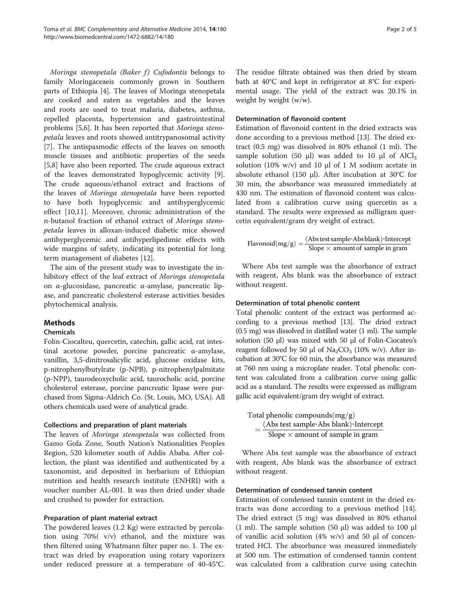Moringa stenopetala (Baker  $f$ ) Cufodontis belongs to family Moringaceaeis commonly grown in Southern parts of Ethiopia [[4\]](#page-4-0). The leaves of Moringa stenopetala are cooked and eaten as vegetables and the leaves and roots are used to treat malaria, diabetes, asthma, repelled placenta, hypertension and gastrointestinal problems [\[5,6](#page-4-0)]. It has been reported that Moringa stenopetala leaves and roots showed antitrypanosomal activity [[7\]](#page-4-0). The antispasmodic effects of the leaves on smooth muscle tissues and antibiotic properties of the seeds [[5,8\]](#page-4-0) have also been reported. The crude aqueous extract of the leaves demonstrated hypoglycemic activity [\[9](#page-4-0)]. The crude aqueous/ethanol extract and fractions of the leaves of Moringa stenopetala have been reported to have both hypoglycemic and antihyperglycemic effect [[10,11\]](#page-4-0). Moreover, chronic administration of the n-butanol fraction of ethanol extract of Moringa stenopetala leaves in alloxan-induced diabetic mice showed antihyperglycemic and antihyperlipedimic effects with wide margins of safety, indicating its potential for long term management of diabetes [[12\]](#page-4-0).

The aim of the present study was to investigate the inhibitory effect of the leaf extract of Moringa stenopetala on α-glucosidase, pancreatic α-amylase, pancreatic lipase, and pancreatic cholesterol esterase activities besides phytochemical analysis.

# Methods

# Chemicals

Folin-Ciocalteu, quercetin, catechin, gallic acid, rat intestinal acetone powder, porcine pancreatic α-amylase, vanillin, 3,5-dinitrosalicylic acid, glucose oxidase kits, p-nitrophenylbutylrate (p-NPB), p-nitrophenylpalmitate (p-NPP), taurodeoxycholic acid, taurocholic acid, porcine cholesterol esterase, porcine pancreatic lipase were purchased from Sigma-Aldrich Co. (St. Louis, MO, USA). All others chemicals used were of analytical grade.

# Collections and preparation of plant materials

The leaves of Moringa stenopetala was collected from Gamo Gofa Zone, South Nation's Nationalities Peoples Region, 520 kilometer south of Addis Ababa. After collection, the plant was identified and authenticated by a taxonomist, and deposited in herbarium of Ethiopian nutrition and health research institute (ENHRI) with a voucher number AL-001. It was then dried under shade and crushed to powder for extraction.

# Preparation of plant material extract

The powdered leaves (1.2 Kg) were extracted by percolation using 70%( v/v) ethanol, and the mixture was then filtered using Whatmann filter paper no. 1. The extract was dried by evaporation using rotary vaporizers under reduced pressure at a temperature of 40-45°C.

The residue filtrate obtained was then dried by steam bath at 40°C and kept in refrigerator at 8°C for experimental usage. The yield of the extract was 20.1% in weight by weight (w/w).

# Determination of flavonoid content

Estimation of flavonoid content in the dried extracts was done according to a previous method [[13](#page-4-0)]. The dried extract (0.5 mg) was dissolved in 80% ethanol (1 ml). The sample solution (50 μl) was added to 10 μl of  $AlCl<sub>3</sub>$ solution (10% w/v) and 10  $\mu$ l of 1 M sodium acetate in absolute ethanol (150 μl). After incubation at 30°C for 30 min, the absorbance was measured immediately at 430 nm. The estimation of flavonoid content was calculated from a calibration curve using quercetin as a standard. The results were expressed as milligram quercetin equivalent/gram dry weight of extract.

$$
Flavonoid (mg/g) = \frac{(Abs \: test \: sample\text{-}Abs \: blank)\text{-}Intercept}{Slope \times{} amount \: of \: sample \: in \: gram}
$$

Where Abs test sample was the absorbance of extract with reagent, Abs blank was the absorbance of extract without reagent.

# Determination of total phenolic content

Total phenolic content of the extract was performed according to a previous method [\[13\]](#page-4-0). The dried extract (0.5 mg) was dissolved in distilled water (1 ml). The sample solution (50 μl) was mixed with 50 μl of Folin-Ciocateu's reagent followed by 50 μl of  $\text{Na}_2\text{CO}_3$  (10% w/v). After incubation at 30°C for 60 min, the absorbance was measured at 760 nm using a microplate reader. Total phenolic content was calculated from a calibration curve using gallic acid as a standard. The results were expressed as milligram gallic acid equivalent/gram dry weight of extract.

Total phenolic compounds  $(mg/g)$  $=\frac{(Abs test sample-Abs blank)-Intercept}{Slope \times amount of sample in gram}$ 

Where Abs test sample was the absorbance of extract with reagent, Abs blank was the absorbance of extract without reagent.

# Determination of condensed tannin content

Estimation of condensed tannin content in the dried extracts was done according to a previous method [\[14](#page-4-0)]. The dried extract (5 mg) was dissolved in 80% ethanol (1 ml). The sample solution (50  $\mu$ l) was added to 100  $\mu$ l of vanillic acid solution (4% w/v) and 50 μl of concentrated HCl. The absorbance was measured immediately at 500 nm. The estimation of condensed tannin content was calculated from a calibration curve using catechin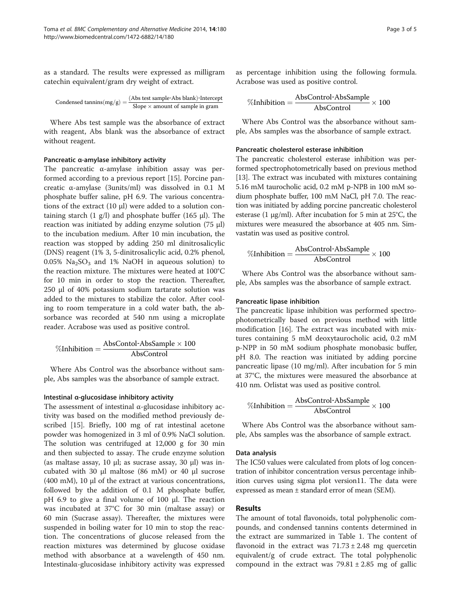as a standard. The results were expressed as milligram catechin equivalent/gram dry weight of extract.

Condensed tannins (mg/g) =  $\frac{(Abs \text{ test sample-Abs blank})\text{-Intercept}}{\text{Slope} \times \text{amount of sample in gram}}$ 

Where Abs test sample was the absorbance of extract with reagent, Abs blank was the absorbance of extract without reagent.

# Pancreatic α-amylase inhibitory activity

The pancreatic α-amylase inhibition assay was performed according to a previous report [[15\]](#page-4-0). Porcine pancreatic α-amylase (3units/ml) was dissolved in 0.1 M phosphate buffer saline, pH 6.9. The various concentrations of the extract (10 μl) were added to a solution containing starch  $(1 \text{ g/l})$  and phosphate buffer  $(165 \text{ µl})$ . The reaction was initiated by adding enzyme solution (75 μl) to the incubation medium. After 10 min incubation, the reaction was stopped by adding 250 ml dinitrosalicylic (DNS) reagent (1% 3, 5-dinitrosalicylic acid, 0.2% phenol,  $0.05\%$  Na<sub>2</sub>SO<sub>3</sub> and 1% NaOH in aqueous solution) to the reaction mixture. The mixtures were heated at 100°C for 10 min in order to stop the reaction. Thereafter, 250 μl of 40% potassium sodium tartarate solution was added to the mixtures to stabilize the color. After cooling to room temperature in a cold water bath, the absorbance was recorded at 540 nm using a microplate reader. Acrabose was used as positive control.

$$
\% Inhibition = \frac{AbsContol\text{-}AbsSample \times 100}{AbsControl}
$$

Where Abs Control was the absorbance without sample, Abs samples was the absorbance of sample extract.

# Intestinal α-glucosidase inhibitory activity

The assessment of intestinal  $\alpha$ -glucosidase inhibitory activity was based on the modified method previously described [\[15](#page-4-0)]. Briefly, 100 mg of rat intestinal acetone powder was homogenized in 3 ml of 0.9% NaCl solution. The solution was centrifuged at 12,000 g for 30 min and then subjected to assay. The crude enzyme solution (as maltase assay, 10  $\mu$ l; as sucrase assay, 30  $\mu$ l) was incubated with 30 μl maltose (86 mM) or 40 μl sucrose (400 mM), 10 μl of the extract at various concentrations, followed by the addition of 0.1 M phosphate buffer, pH 6.9 to give a final volume of 100 μl. The reaction was incubated at 37°C for 30 min (maltase assay) or 60 min (Sucrase assay). Thereafter, the mixtures were suspended in boiling water for 10 min to stop the reaction. The concentrations of glucose released from the reaction mixtures was determined by glucose oxidase method with absorbance at a wavelength of 450 nm. Intestinalα-glucosidase inhibitory activity was expressed as percentage inhibition using the following formula. Acrabose was used as positive control.

$$
\% Inhibition = \frac{AbsControl\text{-}AbsSample}{AbsControl} \times 100
$$

Where Abs Control was the absorbance without sample, Abs samples was the absorbance of sample extract.

#### Pancreatic cholesterol esterase inhibition

The pancreatic cholesterol esterase inhibition was performed spectrophotometrically based on previous method [[13](#page-4-0)]. The extract was incubated with mixtures containing 5.16 mM taurocholic acid, 0.2 mM p-NPB in 100 mM sodium phosphate buffer, 100 mM NaCl, pH 7.0. The reaction was initiated by adding porcine pancreatic cholesterol esterase (1  $\mu$ g/ml). After incubation for 5 min at 25°C, the mixtures were measured the absorbance at 405 nm. Simvastatin was used as positive control.

$$
\% Inhibition = \frac{AbsControl\text{-}AbsSample}{AbsControl} \times 100
$$

Where Abs Control was the absorbance without sample, Abs samples was the absorbance of sample extract.

#### Pancreatic lipase inhibition

The pancreatic lipase inhibition was performed spectrophotometrically based on previous method with little modification [\[16](#page-4-0)]. The extract was incubated with mixtures containing 5 mM deoxytaurocholic acid, 0.2 mM p-NPP in 50 mM sodium phosphate monobasic buffer, pH 8.0. The reaction was initiated by adding porcine pancreatic lipase (10 mg/ml). After incubation for 5 min at 37°C, the mixtures were measured the absorbance at 410 nm. Orlistat was used as positive control.

$$
\% Inhibition = \frac{AbsControl\text{-}AbsSample}{AbsControl} \times 100
$$

Where Abs Control was the absorbance without sample, Abs samples was the absorbance of sample extract.

#### Data analysis

The IC50 values were calculated from plots of log concentration of inhibitor concentration versus percentage inhibition curves using sigma plot version11. The data were expressed as mean ± standard error of mean (SEM).

# Results

The amount of total flavonoids, total polyphenolic compounds, and condensed tannins contents determined in the extract are summarized in Table [1](#page-3-0). The content of flavonoid in the extract was  $71.73 \pm 2.48$  mg quercetin equivalent/g of crude extract. The total polyphenolic compound in the extract was  $79.81 \pm 2.85$  mg of gallic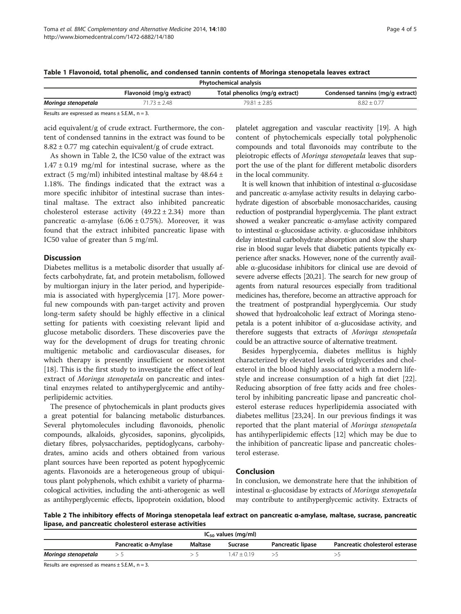| Phytochemical analysis |                          |                                |                                  |  |  |  |
|------------------------|--------------------------|--------------------------------|----------------------------------|--|--|--|
|                        | Flavonoid (mg/g extract) | Total phenolics (mg/g extract) | Condensed tannins (mg/g extract) |  |  |  |
| Moringa stenopetala    | 71.73 ± 2.48             | $79.81 \pm 2.85$               | $8.82 + 0.77$                    |  |  |  |
|                        |                          |                                |                                  |  |  |  |

<span id="page-3-0"></span>Table 1 Flavonoid, total phenolic, and condensed tannin contents of Moringa stenopetala leaves extract

acid equivalent/g of crude extract. Furthermore, the content of condensed tannins in the extract was found to be Results are expressed as means  $\pm$  S.E.M., n = 3.

 $8.82 \pm 0.77$  mg catechin equivalent/g of crude extract. As shown in Table 2, the IC50 value of the extract was  $1.47 \pm 0.19$  mg/ml for intestinal sucrase, where as the extract (5 mg/ml) inhibited intestinal maltase by  $48.64 \pm$ 1.18%. The findings indicated that the extract was a more specific inhibitor of intestinal sucrase than intestinal maltase. The extract also inhibited pancreatic cholesterol esterase activity  $(49.22 \pm 2.34)$  more than pancreatic α-amylase  $(6.06 \pm 0.75%)$ . Moreover, it was found that the extract inhibited pancreatic lipase with IC50 value of greater than 5 mg/ml.

# **Discussion**

Diabetes mellitus is a metabolic disorder that usually affects carbohydrate, fat, and protein metabolism, followed by multiorgan injury in the later period, and hyperipidemia is associated with hyperglycemia [\[17](#page-4-0)]. More powerful new compounds with pan-target activity and proven long-term safety should be highly effective in a clinical setting for patients with coexisting relevant lipid and glucose metabolic disorders. These discoveries pave the way for the development of drugs for treating chronic multigenic metabolic and cardiovascular diseases, for which therapy is presently insufficient or nonexistent [[18\]](#page-4-0). This is the first study to investigate the effect of leaf extract of Moringa stenopetala on pancreatic and intestinal enzymes related to antihyperglycemic and antihyperlipidemic actvities.

The presence of phytochemicals in plant products gives a great potential for balancing metabolic disturbances. Several phytomolecules including flavonoids, phenolic compounds, alkaloids, glycosides, saponins, glycolipids, dietary fibres, polysaccharides, peptidoglycans, carbohydrates, amino acids and others obtained from various plant sources have been reported as potent hypoglycemic agents. Flavonoids are a heterogeneous group of ubiquitous plant polyphenols, which exhibit a variety of pharmacological activities, including the anti-atherogenic as well as antihyperglycemic effects, lipoprotein oxidation, blood

platelet aggregation and vascular reactivity [\[19\]](#page-4-0). A high content of phytochemicals especially total polyphenolic compounds and total flavonoids may contribute to the pleiotropic effects of Moringa stenopetala leaves that support the use of the plant for different metabolic disorders in the local community.

It is well known that inhibition of intestinal α-glucosidase and pancreatic α-amylase activity results in delaying carbohydrate digestion of absorbable monosaccharides, causing reduction of postprandial hyperglycemia. The plant extract showed a weaker pancreatic α-amylase activity compared to intestinal α-glucosidase activity. α-glucosidase inhibitors delay intestinal carbohydrate absorption and slow the sharp rise in blood sugar levels that diabetic patients typically experience after snacks. However, none of the currently available α-glucosidase inhibitors for clinical use are devoid of severe adverse effects [\[20,21\]](#page-4-0). The search for new group of agents from natural resources especially from traditional medicines has, therefore, become an attractive approach for the treatment of postprandial hyperglycemia. Our study showed that hydroalcoholic leaf extract of Moringa stenopetala is a potent inhibitor of α-glucosidase activity, and therefore suggests that extracts of Moringa stenopetala could be an attractive source of alternative treatment.

Besides hyperglycemia, diabetes mellitus is highly characterized by elevated levels of triglycerides and cholesterol in the blood highly associated with a modern lifestyle and increase consumption of a high fat diet [\[22](#page-4-0)]. Reducing absorption of free fatty acids and free cholesterol by inhibiting pancreatic lipase and pancreatic cholesterol esterase reduces hyperlipidemia associated with diabetes mellitus [\[23,24\]](#page-4-0). In our previous findings it was reported that the plant material of Moringa stenopetala has antihyperlipidemic effects [\[12\]](#page-4-0) which may be due to the inhibition of pancreatic lipase and pancreatic cholesterol esterase.

# Conclusion

In conclusion, we demonstrate here that the inhibition of intestinal α-glucosidase by extracts of Moringa stenopetala may contribute to antihyperglycemic activity. Extracts of

Table 2 The inhibitory effects of Moringa stenopetala leaf extract on pancreatic α-amylase, maltase, sucrase, pancreatic lipase, and pancreatic cholesterol esterase activities

| $IC_{50}$ values (mg/ml) |                      |         |               |                   |                                 |  |  |
|--------------------------|----------------------|---------|---------------|-------------------|---------------------------------|--|--|
|                          | Pancreatic a-Amylase | Maltase | Sucrase       | Pancreatic lipase | Pancreatic cholesterol esterase |  |  |
| Moringa stenopetala      |                      |         | $1.47 + 0.19$ |                   |                                 |  |  |

Results are expressed as means  $\pm$  S.E.M., n = 3.